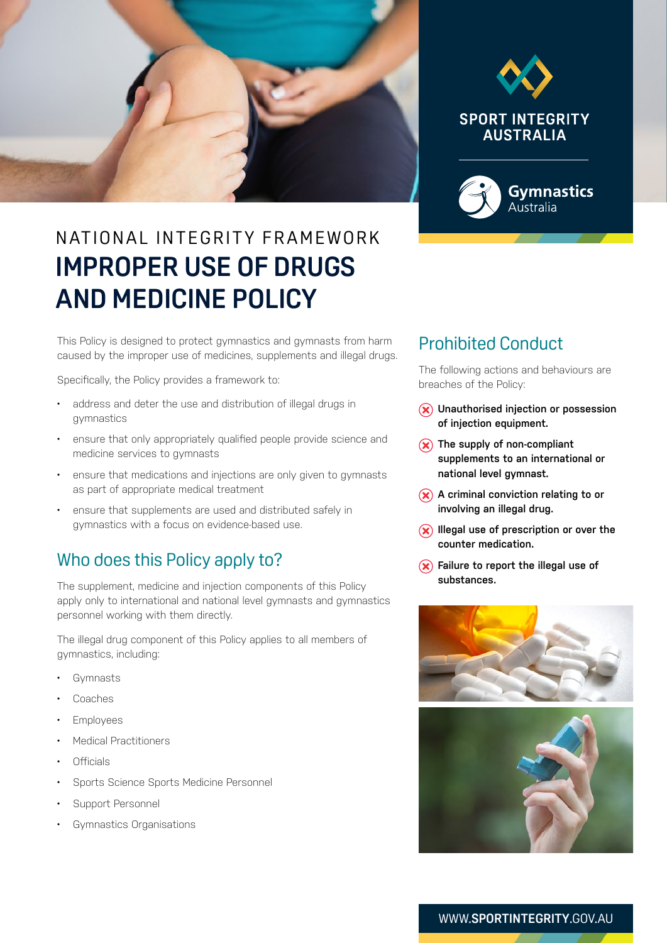



# N AT IONAL INTEGRITY FRAMEWORK **IMPROPER USE OF DRUGS AND MEDICINE POLICY**

This Policy is designed to protect gymnastics and gymnasts from harm caused by the improper use of medicines, supplements and illegal drugs.

Specifically, the Policy provides a framework to:

- address and deter the use and distribution of illegal drugs in gymnastics
- ensure that only appropriately qualified people provide science and medicine services to gymnasts
- ensure that medications and injections are only given to gymnasts as part of appropriate medical treatment
- ensure that supplements are used and distributed safely in gymnastics with a focus on evidence-based use.

#### Who does this Policy apply to?

The supplement, medicine and injection components of this Policy apply only to international and national level gymnasts and gymnastics personnel working with them directly.

The illegal drug component of this Policy applies to all members of gymnastics, including:

- **Gymnasts**
- Coaches
- Employees
- Medical Practitioners
- Officials
- Sports Science Sports Medicine Personnel
- Support Personnel
- Gymnastics Organisations

## Prohibited Conduct

The following actions and behaviours are breaches of the Policy:

- **Unauthorised injection or possession of injection equipment.**
- **(x)** The supply of non-compliant **supplements to an international or national level gymnast.**
- **A** criminal conviction relating to or **involving an illegal drug.**
- $(\hat{\mathbf{x}})$  Illegal use of prescription or over the **counter medication.**
- **Failure to report the illegal use of substances.**